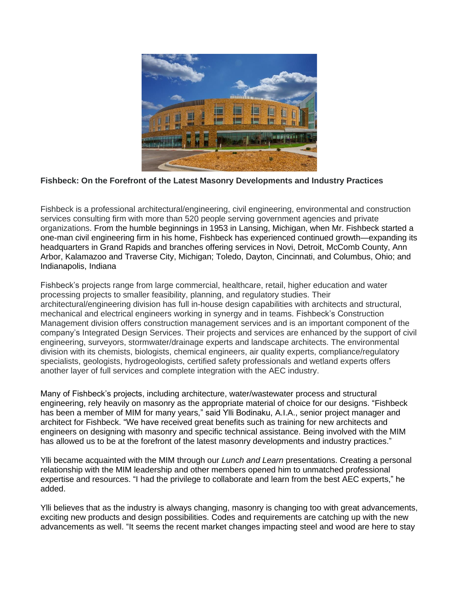

## **Fishbeck: On the Forefront of the Latest Masonry Developments and Industry Practices**

Fishbeck is a professional architectural/engineering, civil engineering, environmental and construction services consulting firm with more than 520 people serving government agencies and private organizations. From the humble beginnings in 1953 in Lansing, Michigan, when Mr. Fishbeck started a one-man civil engineering firm in his home, Fishbeck has experienced continued growth—expanding its headquarters in Grand Rapids and branches offering services in Novi, Detroit, McComb County, Ann Arbor, Kalamazoo and Traverse City, Michigan; Toledo, Dayton, Cincinnati, and Columbus, Ohio; and Indianapolis, Indiana

Fishbeck's projects range from large commercial, healthcare, retail, higher education and water processing projects to smaller feasibility, planning, and regulatory studies. Their architectural/engineering division has full in-house design capabilities with architects and structural, mechanical and electrical engineers working in synergy and in teams. Fishbeck's Construction Management division offers construction management services and is an important component of the company's Integrated Design Services. Their projects and services are enhanced by the support of civil engineering, surveyors, stormwater/drainage experts and landscape architects. The environmental division with its chemists, biologists, chemical engineers, air quality experts, compliance/regulatory specialists, geologists, hydrogeologists, certified safety professionals and wetland experts offers another layer of full services and complete integration with the AEC industry.

Many of Fishbeck's projects, including architecture, water/wastewater process and structural engineering, rely heavily on masonry as the appropriate material of choice for our designs. "Fishbeck has been a member of MIM for many years," said Ylli Bodinaku, A.I.A., senior project manager and architect for Fishbeck. "We have received great benefits such as training for new architects and engineers on designing with masonry and specific technical assistance. Being involved with the MIM has allowed us to be at the forefront of the latest masonry developments and industry practices."

Ylli became acquainted with the MIM through our *Lunch and Learn* presentations. Creating a personal relationship with the MIM leadership and other members opened him to unmatched professional expertise and resources. "I had the privilege to collaborate and learn from the best AEC experts," he added.

Ylli believes that as the industry is always changing, masonry is changing too with great advancements, exciting new products and design possibilities. Codes and requirements are catching up with the new advancements as well. "It seems the recent market changes impacting steel and wood are here to stay